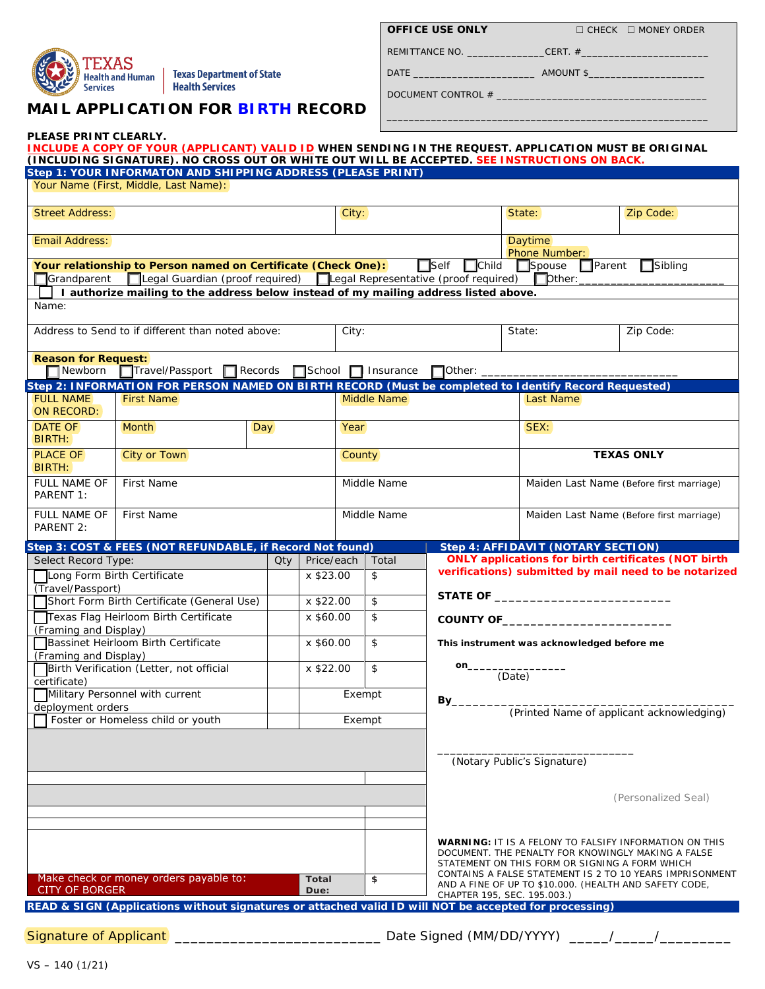

Health and Human | Texas Department of State Health Services

# **MAIL APPLICATION FOR BIRTH RECORD**

|  |  | OFFICE USE ONLY |
|--|--|-----------------|
|  |  |                 |

**OFFICE USE ONLY** ☐ CHECK ☐ MONEY ORDER

\_\_\_\_\_\_\_\_\_\_\_\_\_\_\_\_\_\_\_\_\_\_\_\_\_\_\_\_\_\_\_\_\_\_\_\_\_\_\_\_\_\_\_\_\_\_\_\_\_\_\_\_\_\_\_\_\_\_

DATE \_\_\_\_\_\_\_\_\_\_\_\_\_\_\_\_\_\_\_\_\_\_ AMOUNT \$\_\_\_\_\_\_\_\_\_\_\_\_\_\_\_\_\_\_\_\_\_

| DOCUMENT CONTROL # |  |
|--------------------|--|
|--------------------|--|

REMITTANCE NO. \_\_\_\_\_\_\_\_\_\_\_\_\_\_\_\_\_\_\_\_CERT. #\_

| PLEASE PRINT CLEARLY.                                                                                                                                        | INCLUDE A COPY OF YOUR (APPLICANT) VALID ID WHEN SENDING IN THE REQUEST. APPLICATION MUST BE ORIGINAL                                                       |                      |           |               |             |                                                                                                                                                   |                                                                                                                     |                                                                                                                                                                       |  |
|--------------------------------------------------------------------------------------------------------------------------------------------------------------|-------------------------------------------------------------------------------------------------------------------------------------------------------------|----------------------|-----------|---------------|-------------|---------------------------------------------------------------------------------------------------------------------------------------------------|---------------------------------------------------------------------------------------------------------------------|-----------------------------------------------------------------------------------------------------------------------------------------------------------------------|--|
|                                                                                                                                                              | (INCLUDING SIGNATURE). NO CROSS OUT OR WHITE OUT WILL BE ACCEPTED. SEE INSTRUCTIONS ON BACK.<br>Step 1: YOUR INFORMATON AND SHIPPING ADDRESS (PLEASE PRINT) |                      |           |               |             |                                                                                                                                                   |                                                                                                                     |                                                                                                                                                                       |  |
|                                                                                                                                                              | Your Name (First, Middle, Last Name):                                                                                                                       |                      |           |               |             |                                                                                                                                                   |                                                                                                                     |                                                                                                                                                                       |  |
| <b>Street Address:</b>                                                                                                                                       |                                                                                                                                                             |                      |           | City:         |             |                                                                                                                                                   | State:                                                                                                              | Zip Code:                                                                                                                                                             |  |
| <b>Email Address:</b>                                                                                                                                        |                                                                                                                                                             |                      |           |               |             |                                                                                                                                                   | <b>Daytime</b><br>Phone Number:                                                                                     |                                                                                                                                                                       |  |
| <b>Grandparent</b>                                                                                                                                           | Your relationship to Person named on Certificate (Check One):<br>□Legal Guardian (proof required) □Legal Representative (proof required) □ Dther:           |                      |           |               |             | $\Box$ Child<br>$\Box$ Self                                                                                                                       | $\Box$ Spouse                                                                                                       | $\Box$ Sibling<br>$\Box$ Parent                                                                                                                                       |  |
|                                                                                                                                                              | I authorize mailing to the address below instead of my mailing address listed above.                                                                        |                      |           |               |             |                                                                                                                                                   |                                                                                                                     |                                                                                                                                                                       |  |
| Name:                                                                                                                                                        |                                                                                                                                                             |                      |           |               |             |                                                                                                                                                   |                                                                                                                     |                                                                                                                                                                       |  |
|                                                                                                                                                              | Address to Send to if different than noted above:                                                                                                           |                      |           |               |             |                                                                                                                                                   | State:                                                                                                              | Zip Code:                                                                                                                                                             |  |
| <b>Reason for Request:</b><br>$\Box$ Newborn                                                                                                                 | Travel/Passport Records School Insurance                                                                                                                    |                      |           |               |             | $\Box$ Other: $\_$                                                                                                                                |                                                                                                                     |                                                                                                                                                                       |  |
| Step 2: INFORMATION FOR PERSON NAMED ON BIRTH RECORD (Must be completed to Identify Record Requested)<br><b>FULL NAME</b><br><b>First Name</b><br>ON RECORD: |                                                                                                                                                             |                      |           | Middle Name   |             |                                                                                                                                                   | Last Name                                                                                                           |                                                                                                                                                                       |  |
| <b>DATE OF</b><br>BIRTH:                                                                                                                                     | <b>Month</b><br>Day                                                                                                                                         |                      |           | Year          |             |                                                                                                                                                   | SEX:                                                                                                                |                                                                                                                                                                       |  |
| <b>PLACE OF</b><br>BIRTH:                                                                                                                                    | City or Town                                                                                                                                                |                      |           | <b>County</b> |             |                                                                                                                                                   | <b>TEXAS ONLY</b>                                                                                                   |                                                                                                                                                                       |  |
| <b>FULL NAME OF</b><br>PARENT 1:                                                                                                                             | First Name                                                                                                                                                  |                      |           | Middle Name   |             |                                                                                                                                                   | Maiden Last Name (Before first marriage)                                                                            |                                                                                                                                                                       |  |
| <b>FULL NAME OF</b><br>PARENT 2:                                                                                                                             | First Name                                                                                                                                                  |                      |           |               | Middle Name |                                                                                                                                                   | Maiden Last Name (Before first marriage)                                                                            |                                                                                                                                                                       |  |
|                                                                                                                                                              | Step 3: COST & FEES (NOT REFUNDABLE, if Record Not found)                                                                                                   |                      |           |               |             |                                                                                                                                                   |                                                                                                                     | Step 4: AFFIDAVIT (NOTARY SECTION)                                                                                                                                    |  |
|                                                                                                                                                              | Select Record Type:                                                                                                                                         |                      |           | Price/each    | Total<br>\$ |                                                                                                                                                   | <b>ONLY applications for birth certificates (NOT birth</b><br>verifications) submitted by mail need to be notarized |                                                                                                                                                                       |  |
| Long Form Birth Certificate<br>(Travel/Passport)                                                                                                             |                                                                                                                                                             |                      | x \$23.00 |               |             | STATE OF THE STATE OF                                                                                                                             |                                                                                                                     |                                                                                                                                                                       |  |
| Short Form Birth Certificate (General Use)                                                                                                                   |                                                                                                                                                             |                      | x \$22.00 |               | \$          |                                                                                                                                                   |                                                                                                                     |                                                                                                                                                                       |  |
| Texas Flag Heirloom Birth Certificate<br>(Framing and Display)                                                                                               |                                                                                                                                                             |                      | x \$60.00 |               | \$          |                                                                                                                                                   |                                                                                                                     |                                                                                                                                                                       |  |
| Bassinet Heirloom Birth Certificate<br>(Framing and Display)                                                                                                 |                                                                                                                                                             |                      | x \$60.00 |               | \$          |                                                                                                                                                   | This instrument was acknowledged before me                                                                          |                                                                                                                                                                       |  |
| Birth Verification (Letter, not official                                                                                                                     |                                                                                                                                                             |                      | x \$22.00 |               | \$          | on_                                                                                                                                               | (Date)                                                                                                              |                                                                                                                                                                       |  |
| certificate)<br>Military Personnel with current                                                                                                              |                                                                                                                                                             |                      | Exempt    |               |             |                                                                                                                                                   | By_                                                                                                                 |                                                                                                                                                                       |  |
| deployment orders<br>Foster or Homeless child or youth                                                                                                       |                                                                                                                                                             |                      | Exempt    |               |             | (Printed Name of applicant acknowledging)                                                                                                         |                                                                                                                     |                                                                                                                                                                       |  |
|                                                                                                                                                              |                                                                                                                                                             |                      |           |               |             |                                                                                                                                                   |                                                                                                                     |                                                                                                                                                                       |  |
|                                                                                                                                                              |                                                                                                                                                             |                      |           |               |             |                                                                                                                                                   | (Notary Public's Signature)                                                                                         |                                                                                                                                                                       |  |
|                                                                                                                                                              |                                                                                                                                                             |                      |           |               |             |                                                                                                                                                   |                                                                                                                     |                                                                                                                                                                       |  |
|                                                                                                                                                              |                                                                                                                                                             |                      |           |               |             |                                                                                                                                                   |                                                                                                                     | (Personalized Seal)                                                                                                                                                   |  |
|                                                                                                                                                              |                                                                                                                                                             |                      |           |               |             |                                                                                                                                                   |                                                                                                                     |                                                                                                                                                                       |  |
|                                                                                                                                                              |                                                                                                                                                             |                      |           |               |             |                                                                                                                                                   |                                                                                                                     | <b>WARNING: IT IS A FELONY TO FALSIFY INFORMATION ON THIS</b><br>DOCUMENT. THE PENALTY FOR KNOWINGLY MAKING A FALSE<br>STATEMENT ON THIS FORM OR SIGNING A FORM WHICH |  |
| Make check or money orders payable to:<br><b>CITY OF BORGER</b>                                                                                              |                                                                                                                                                             | <b>Total</b><br>Due: |           | \$            |             | CONTAINS A FALSE STATEMENT IS 2 TO 10 YEARS IMPRISONMENT<br>AND A FINE OF UP TO \$10.000. (HEALTH AND SAFETY CODE,<br>CHAPTER 195, SEC. 195.003.) |                                                                                                                     |                                                                                                                                                                       |  |
|                                                                                                                                                              | READ & SIGN (Applications without signatures or attached valid ID will NOT be accepted for processing)                                                      |                      |           |               |             |                                                                                                                                                   |                                                                                                                     |                                                                                                                                                                       |  |

Signature of Applicant \_\_\_\_\_\_\_\_\_\_\_\_\_\_\_\_\_\_\_\_\_\_\_\_\_\_\_\_\_\_\_\_\_ Date Signed (MM/DD/YYYY) \_\_\_\_\_/\_\_\_\_/\_\_\_

VS – 140 (1/21)